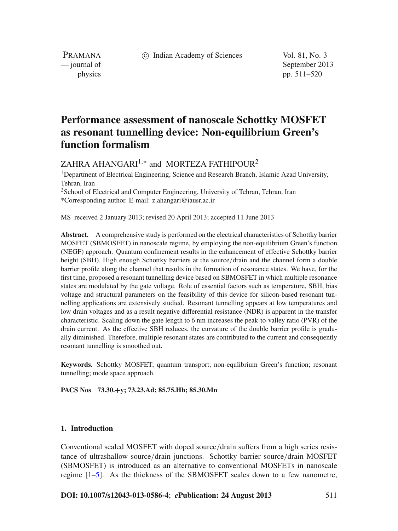c Indian Academy of Sciences Vol. 81, No. 3

PRAMANA

— journal of September 2013 physics pp. 511–520

# **Performance assessment of nanoscale Schottky MOSFET as resonant tunnelling device: Non-equilibrium Green's function formalism**

ZAHRA AHANGARI<sup>1,\*</sup> and MORTEZA FATHIPOUR<sup>2</sup>

<sup>1</sup>Department of Electrical Engineering, Science and Research Branch, Islamic Azad University, Tehran, Iran

<sup>2</sup>School of Electrical and Computer Engineering, University of Tehran, Tehran, Iran \*Corresponding author. E-mail: z.ahangari@iausr.ac.ir

MS received 2 January 2013; revised 20 April 2013; accepted 11 June 2013

**Abstract.** A comprehensive study is performed on the electrical characteristics of Schottky barrier MOSFET (SBMOSFET) in nanoscale regime, by employing the non-equilibrium Green's function (NEGF) approach. Quantum confinement results in the enhancement of effective Schottky barrier height (SBH). High enough Schottky barriers at the source/drain and the channel form a double barrier profile along the channel that results in the formation of resonance states. We have, for the first time, proposed a resonant tunnelling device based on SBMOSFET in which multiple resonance states are modulated by the gate voltage. Role of essential factors such as temperature, SBH, bias voltage and structural parameters on the feasibility of this device for silicon-based resonant tunnelling applications are extensively studied. Resonant tunnelling appears at low temperatures and low drain voltages and as a result negative differential resistance (NDR) is apparent in the transfer characteristic. Scaling down the gate length to 6 nm increases the peak-to-valley ratio (PVR) of the drain current. As the effective SBH reduces, the curvature of the double barrier profile is gradually diminished. Therefore, multiple resonant states are contributed to the current and consequently resonant tunnelling is smoothed out.

**Keywords.** Schottky MOSFET; quantum transport; non-equlibrium Green's function; resonant tunnelling; mode space approach.

**PACS Nos 73.30.+y; 73.23.Ad; 85.75.Hh; 85.30.Mn**

# <span id="page-0-0"></span>**1. Introduction**

Conventional scaled MOSFET with doped source/drain suffers from a high series resistance of ultrashallow source/drain junctions. Schottky barrier source/drain MOSFET (SBMOSFET) is introduced as an alternative to conventional MOSFETs in nanoscale regime [\[1](#page-9-0)[–5\]](#page-9-1). As the thickness of the SBMOSFET scales down to a few nanometre,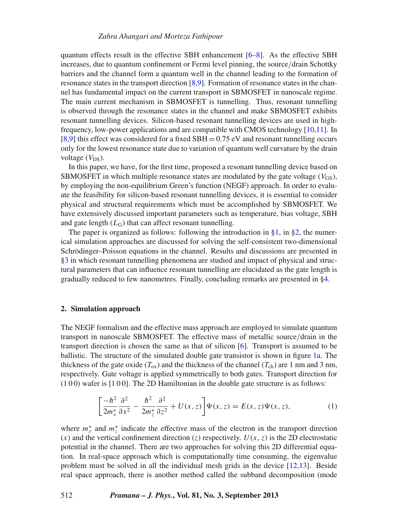quantum effects result in the effective SBH enhancement  $[6–8]$  $[6–8]$  $[6–8]$ . As the effective SBH increases, due to quantum confinement or Fermi level pinning, the source/drain Schottky barriers and the channel form a quantum well in the channel leading to the formation of resonance states in the transport direction [\[8](#page-9-3)[,9](#page-9-4)]. Formation of resonance states in the channel has fundamental impact on the current transport in SBMOSFET in nanoscale regime. The main current mechanism in SBMOSFET is tunnelling. Thus, resonant tunnelling is observed through the resonance states in the channel and make SBMOSFET exhibits resonant tunnelling devices. Silicon-based resonant tunnelling devices are used in highfrequency, low-power applications and are compatible with CMOS technology [\[10](#page-9-5)[,11](#page-9-6)]. In [\[8](#page-9-3)[,9\]](#page-9-4) this effect was considered for a fixed  $SBH = 0.75$  eV and resonant tunnelling occurs only for the lowest resonance state due to variation of quantum well curvature by the drain voltage  $(V_{DS})$ .

In this paper, we have, for the first time, proposed a resonant tunnelling device based on SBMOSFET in which multiple resonance states are modulated by the gate voltage  $(V_{GS})$ , by employing the non-equilibrium Green's function (NEGF) approach. In order to evaluate the feasibility for silicon-based resonant tunnelling devices, it is essential to consider physical and structural requirements which must be accomplished by SBMOSFET. We have extensively discussed important parameters such as temperature, bias voltage, SBH and gate length  $(L_G)$  that can affect resonant tunnelling.

The paper is organized as follows: following the introduction in  $\S1$ , in  $\S2$ , the numerical simulation approaches are discussed for solving the self-consistent two-dimensional Schrödinger–Poisson equations in the channel. Results and discussions are presented in [§3](#page-4-0) in which resonant tunnelling phenomena are studied and impact of physical and structural parameters that can influence resonant tunnelling are elucidated as the gate length is gradually reduced to few nanometres. Finally, concluding remarks are presented in [§4.](#page-8-0)

## <span id="page-1-0"></span>**2. Simulation approach**

The NEGF formalism and the effective mass approach are employed to simulate quantum transport in nanoscale SBMOSFET. The effective mass of metallic source/drain in the transport direction is chosen the same as that of silicon [\[6\]](#page-9-2). Transport is assumed to be ballistic. The structure of the simulated double gate transistor is shown in figure [1a](#page-2-0). The thickness of the gate oxide  $(T_{ox})$  and the thickness of the channel  $(T_{ch})$  are 1 nm and 3 nm, respectively. Gate voltage is applied symmetrically to both gates. Transport direction for  $(100)$  wafer is  $[100]$ . The 2D Hamiltonian in the double gate structure is as follows:

$$
\left[\frac{-\hbar^2}{2m_x^*}\frac{\partial^2}{\partial x^2} - \frac{\hbar^2}{2m_z^*}\frac{\partial^2}{\partial z^2} + U(x,z)\right]\Psi(x,z) = E(x,z)\Psi(x,z),\tag{1}
$$

where  $m_x^*$  and  $m_z^*$  indicate the effective mass of the electron in the transport direction  $(x)$  and the vertical confinement direction  $(z)$  respectively.  $U(x, z)$  is the 2D electrostatic potential in the channel. There are two approaches for solving this 2D differential equation. In real-space approach which is computationally time consuming, the eigenvalue problem must be solved in all the individual mesh grids in the device [\[12](#page-9-7)[,13](#page-9-8)]. Beside real space approach, there is another method called the subband decomposition (mode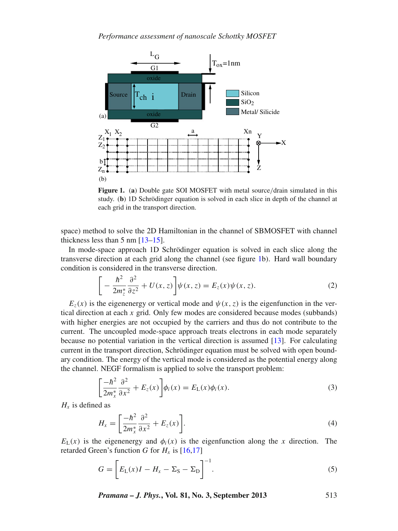<span id="page-2-0"></span>

**Figure 1.** (**a**) Double gate SOI MOSFET with metal source/drain simulated in this study. (**b**) 1D Schrödinger equation is solved in each slice in depth of the channel at each grid in the transport direction.

space) method to solve the 2D Hamiltonian in the channel of SBMOSFET with channel thickness less than 5 nm [\[13](#page-9-8)[–15\]](#page-9-9).

In mode-space approach 1D Schrödinger equation is solved in each slice along the transverse direction at each grid along the channel (see figure [1b](#page-2-0)). Hard wall boundary condition is considered in the transverse direction.

$$
\[ -\frac{\hbar^2}{2m_z^*} \frac{\partial^2}{\partial z^2} + U(x, z) \] \psi(x, z) = E_z(x) \psi(x, z). \tag{2}
$$

 $E_z(x)$  is the eigenenergy or vertical mode and  $\psi(x, z)$  is the eigenfunction in the vertical direction at each  $x$  grid. Only few modes are considered because modes (subbands) with higher energies are not occupied by the carriers and thus do not contribute to the current. The uncoupled mode-space approach treats electrons in each mode separately because no potential variation in the vertical direction is assumed [\[13\]](#page-9-8). For calculating current in the transport direction, Schrödinger equation must be solved with open boundary condition. The energy of the vertical mode is considered as the potential energy along the channel. NEGF formalism is applied to solve the transport problem:

$$
\left[\frac{-\hbar^2}{2m_x^*}\frac{\partial^2}{\partial x^2} + E_z(x)\right]\phi_i(x) = E_L(x)\phi_i(x). \tag{3}
$$

 $H_x$  is defined as

$$
H_x = \left[\frac{-\hbar^2}{2m_x^*} \frac{\partial^2}{\partial x^2} + E_z(x)\right].
$$
 (4)

 $E<sub>L</sub>(x)$  is the eigenenergy and  $\phi<sub>i</sub>(x)$  is the eigenfunction along the *x* direction. The retarded Green's function *G* for  $H_x$  is [\[16](#page-9-10)[,17](#page-9-11)]

$$
G = \left[ E_{\rm L}(x)I - H_x - \Sigma_{\rm S} - \Sigma_{\rm D} \right]^{-1}.
$$
\n<sup>(5)</sup>

*Pramana – J. Phys.***, Vol. 81, No. 3, September 2013** 513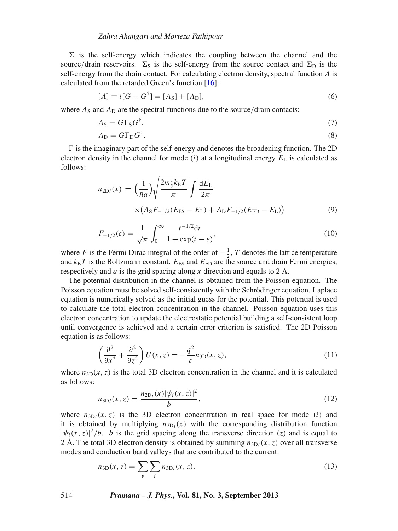#### *Zahra Ahangari and Morteza Fathipour*

 $\Sigma$  is the self-energy which indicates the coupling between the channel and the source/drain reservoirs.  $\Sigma_{\rm S}$  is the self-energy from the source contact and  $\Sigma_{\rm D}$  is the self-energy from the drain contact. For calculating electron density, spectral function *A* is calculated from the retarded Green's function [\[16\]](#page-9-10):

$$
[A] \equiv i[G - G^{\dagger}] = [A_S] + [A_D], \tag{6}
$$

where  $A_S$  and  $A_D$  are the spectral functions due to the source/drain contacts:

$$
A_{\rm S} = G\Gamma_{\rm S}G^{\dagger},\tag{7}
$$

$$
A_{\rm D} = G\Gamma_{\rm D}G^{\dagger}.\tag{8}
$$

 $\Gamma$  is the imaginary part of the self-energy and denotes the broadening function. The 2D electron density in the channel for mode  $(i)$  at a longitudinal energy  $E_L$  is calculated as follows:

$$
n_{2Di}(x) = \left(\frac{1}{\hbar a}\right) \sqrt{\frac{2m_y^* k_B T}{\pi}} \int \frac{dE_L}{2\pi}
$$
  
 
$$
\times \left(A_S F_{-1/2}(E_{FS} - E_L) + A_D F_{-1/2}(E_{FD} - E_L)\right)
$$
 (9)

$$
F_{-1/2}(\varepsilon) = \frac{1}{\sqrt{\pi}} \int_0^\infty \frac{t^{-1/2} \mathrm{d}t}{1 + \exp(t - \varepsilon)},\tag{10}
$$

where *F* is the Fermi Dirac integral of the order of  $-\frac{1}{2}$ , *T* denotes the lattice temperature and  $k_B T$  is the Boltzmann constant.  $E_{FS}$  and  $E_{FD}$  are the source and drain Fermi energies, respectively and *a* is the grid spacing along *x* direction and equals to 2 Å.

The potential distribution in the channel is obtained from the Poisson equation. The Poisson equation must be solved self-consistently with the Schrödinger equation. Laplace equation is numerically solved as the initial guess for the potential. This potential is used to calculate the total electron concentration in the channel. Poisson equation uses this electron concentration to update the electrostatic potential building a self-consistent loop until convergence is achieved and a certain error criterion is satisfied. The 2D Poisson equation is as follows:

$$
\left(\frac{\partial^2}{\partial x^2} + \frac{\partial^2}{\partial z^2}\right)U(x, z) = -\frac{q^2}{\varepsilon}n_{3D}(x, z),\tag{11}
$$

where  $n_{3D}(x, z)$  is the total 3D electron concentration in the channel and it is calculated as follows:

$$
n_{3\text{Di}}(x,z) = \frac{n_{2\text{Di}}(x)|\psi_i(x,z)|^2}{b},\tag{12}
$$

where  $n_{3D_i}(x, z)$  is the 3D electron concentration in real space for mode (*i*) and it is obtained by multiplying  $n_{2D_i}(x)$  with the corresponding distribution function  $|\psi_i(x, z)|^2/b$ . *b* is the grid spacing along the transverse direction (*z*) and is equal to 2 Å. The total 3D electron density is obtained by summing  $n_{3D}$ <sub>*i*</sub>(*x*, *z*) over all transverse modes and conduction band valleys that are contributed to the current:

$$
n_{3D}(x, z) = \sum_{v} \sum_{i} n_{3Di}(x, z). \tag{13}
$$

514 *Pramana – J. Phys.***, Vol. 81, No. 3, September 2013**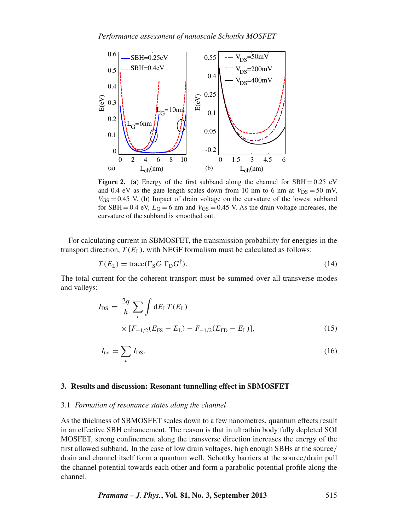<span id="page-4-1"></span>

**Figure 2.** (a) Energy of the first subband along the channel for  $SBH = 0.25$  eV and 0.4 eV as the gate length scales down from 10 nm to 6 nm at  $V_{DS} = 50$  mV,  $V_{GS} = 0.45$  V. (b) Impact of drain voltage on the curvature of the lowest subband for SBH = 0.4 eV,  $L_G = 6$  nm and  $V_{GS} = 0.45$  V. As the drain voltage increases, the curvature of the subband is smoothed out.

For calculating current in SBMOSFET, the transmission probability for energies in the transport direction,  $T(E_I)$ , with NEGF formalism must be calculated as follows:

$$
T(E_{\rm L}) = \text{trace}(\Gamma_{\rm S} G \Gamma_{\rm D} G^{\dagger}). \tag{14}
$$

The total current for the coherent transport must be summed over all transverse modes and valleys:

$$
I_{\rm DS} = \frac{2q}{h} \sum_{i} \int dE_{\rm L} T(E_{\rm L})
$$
  
 
$$
\times [F_{-1/2}(E_{\rm FS} - E_{\rm L}) - F_{-1/2}(E_{\rm FD} - E_{\rm L})],
$$
 (15)

$$
I_{\text{tot}} = \sum_{v} I_{\text{DS}}.\tag{16}
$$

#### <span id="page-4-0"></span>**3. Results and discussion: Resonant tunnelling effect in SBMOSFET**

#### 3.1 *Formation of resonance states along the channel*

As the thickness of SBMOSFET scales down to a few nanometres, quantum effects result in an effective SBH enhancement. The reason is that in ultrathin body fully depleted SOI MOSFET, strong confinement along the transverse direction increases the energy of the first allowed subband. In the case of low drain voltages, high enough SBHs at the source/ drain and channel itself form a quantum well. Schottky barriers at the source/drain pull the channel potential towards each other and form a parabolic potential profile along the channel.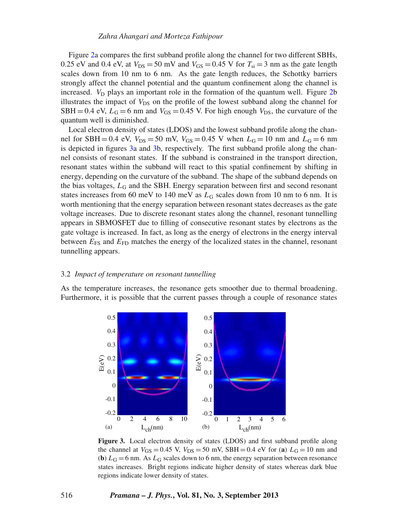Figure [2a](#page-4-1) compares the first subband profile along the channel for two different SBHs, 0.25 eV and 0.4 eV, at  $V_{DS} = 50$  mV and  $V_{GS} = 0.45$  V for  $T_{si} = 3$  nm as the gate length scales down from 10 nm to 6 nm. As the gate length reduces, the Schottky barriers strongly affect the channel potential and the quantum confinement along the channel is increased.  $V_D$  plays an important role in the formation of the quantum well. Figure [2b](#page-4-1) illustrates the impact of  $V_{DS}$  on the profile of the lowest subband along the channel for SBH = 0.4 eV,  $L_G$  = 6 nm and  $V_{GS}$  = 0.45 V. For high enough  $V_{DS}$ , the curvature of the quantum well is diminished.

Local electron density of states (LDOS) and the lowest subband profile along the channel for SBH = 0.4 eV,  $V_{DS} = 50$  mV,  $V_{GS} = 0.45$  V when  $L_G = 10$  nm and  $L_G = 6$  nm is depicted in figures [3a](#page-5-0) and [3b](#page-5-0), respectively. The first subband profile along the channel consists of resonant states. If the subband is constrained in the transport direction, resonant states within the subband will react to this spatial confinement by shifting in energy, depending on the curvature of the subband. The shape of the subband depends on the bias voltages,  $L_G$  and the SBH. Energy separation between first and second resonant states increases from 60 meV to 140 meV as  $L<sub>G</sub>$  scales down from 10 nm to 6 nm. It is worth mentioning that the energy separation between resonant states decreases as the gate voltage increases. Due to discrete resonant states along the channel, resonant tunnelling appears in SBMOSFET due to filling of consecutive resonant states by electrons as the gate voltage is increased. In fact, as long as the energy of electrons in the energy interval between  $E_{FS}$  and  $E_{FD}$  matches the energy of the localized states in the channel, resonant tunnelling appears.

## 3.2 *Impact of temperature on resonant tunnelling*

<span id="page-5-0"></span>As the temperature increases, the resonance gets smoother due to thermal broadening. Furthermore, it is possible that the current passes through a couple of resonance states



**Figure 3.** Local electron density of states (LDOS) and first subband profile along the channel at  $V_{GS} = 0.45$  V,  $V_{DS} = 50$  mV, SBH = 0.4 eV for (**a**)  $L_G = 10$  nm and (**b**)  $L_G = 6$  nm. As  $L_G$  scales down to 6 nm, the energy separation between resonance states increases. Bright regions indicate higher density of states whereas dark blue regions indicate lower density of states.

#### 516 *Pramana – J. Phys.***, Vol. 81, No. 3, September 2013**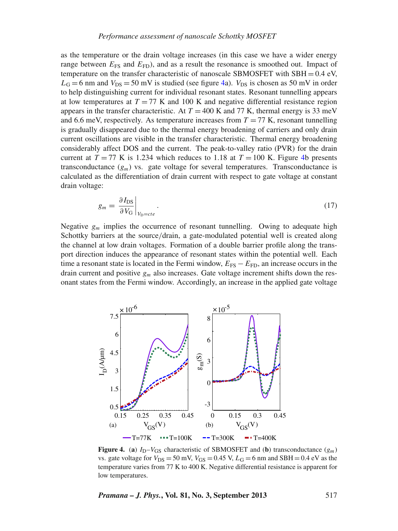as the temperature or the drain voltage increases (in this case we have a wider energy range between  $E_{FS}$  and  $E_{FD}$ ), and as a result the resonance is smoothed out. Impact of temperature on the transfer characteristic of nanoscale SBMOSFET with SBH =  $0.4 \text{ eV}$ ,  $L<sub>G</sub> = 6$  nm and  $V<sub>DS</sub> = 50$  mV is studied (see figure [4a](#page-6-0)).  $V<sub>DS</sub>$  is chosen as 50 mV in order to help distinguishing current for individual resonant states. Resonant tunnelling appears at low temperatures at  $T = 77$  K and 100 K and negative differential resistance region appears in the transfer characteristic. At  $T = 400$  K and 77 K, thermal energy is 33 meV and 6.6 meV, respectively. As temperature increases from  $T = 77$  K, resonant tunnelling is gradually disappeared due to the thermal energy broadening of carriers and only drain current oscillations are visible in the transfer characteristic. Thermal energy broadening considerably affect DOS and the current. The peak-to-valley ratio (PVR) for the drain current at  $T = 77$  K is 1.234 which reduces to 1.18 at  $T = 100$  K. Figure [4b](#page-6-0) presents transconductance  $(g_m)$  vs. gate voltage for several temperatures. Transconductance is calculated as the differentiation of drain current with respect to gate voltage at constant drain voltage:

$$
g_m = \left. \frac{\partial I_{\rm DS}}{\partial V_{\rm G}} \right|_{V_{\rm D} = cte}.
$$
\n(17)

Negative *gm* implies the occurrence of resonant tunnelling. Owing to adequate high Schottky barriers at the source/drain, a gate-modulated potential well is created along the channel at low drain voltages. Formation of a double barrier profile along the transport direction induces the appearance of resonant states within the potential well. Each time a resonant state is located in the Fermi window,  $E_{FS} - E_{FD}$ , an increase occurs in the drain current and positive  $g_m$  also increases. Gate voltage increment shifts down the resonant states from the Fermi window. Accordingly, an increase in the applied gate voltage

<span id="page-6-0"></span>

**Figure 4.** (a)  $I_D-V_{GS}$  characteristic of SBMOSFET and (b) transconductance  $(g_m)$ vs. gate voltage for  $V_{DS} = 50$  mV,  $V_{GS} = 0.45$  V,  $L_G = 6$  nm and SBH = 0.4 eV as the temperature varies from 77 K to 400 K. Negative differential resistance is apparent for low temperatures.

*Pramana – J. Phys.***, Vol. 81, No. 3, September 2013** 517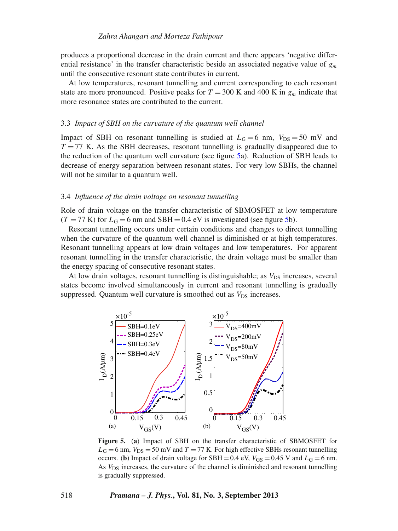produces a proportional decrease in the drain current and there appears 'negative differential resistance' in the transfer characteristic beside an associated negative value of *gm* until the consecutive resonant state contributes in current.

At low temperatures, resonant tunnelling and current corresponding to each resonant state are more pronounced. Positive peaks for  $T = 300$  K and 400 K in  $g_m$  indicate that more resonance states are contributed to the current.

## 3.3 *Impact of SBH on the cur*v*ature of the quantum well channel*

Impact of SBH on resonant tunnelling is studied at  $L_G = 6$  nm,  $V_{DS} = 50$  mV and  $T = 77$  K. As the SBH decreases, resonant tunnelling is gradually disappeared due to the reduction of the quantum well curvature (see figure [5a](#page-7-0)). Reduction of SBH leads to decrease of energy separation between resonant states. For very low SBHs, the channel will not be similar to a quantum well.

#### 3.4 *Influence of the drain* v*oltage on resonant tunnelling*

Role of drain voltage on the transfer characteristic of SBMOSFET at low temperature  $(T = 77 \text{ K})$  for  $L_G = 6 \text{ nm}$  and SBH = 0.4 eV is investigated (see figure [5b](#page-7-0)).

Resonant tunnelling occurs under certain conditions and changes to direct tunnelling when the curvature of the quantum well channel is diminished or at high temperatures. Resonant tunnelling appears at low drain voltages and low temperatures. For apparent resonant tunnelling in the transfer characteristic, the drain voltage must be smaller than the energy spacing of consecutive resonant states.

At low drain voltages, resonant tunnelling is distinguishable; as  $V_{DS}$  increases, several states become involved simultaneously in current and resonant tunnelling is gradually suppressed. Quantum well curvature is smoothed out as  $V_{DS}$  increases.

<span id="page-7-0"></span>

**Figure 5.** (**a**) Impact of SBH on the transfer characteristic of SBMOSFET for  $L_G$  = 6 nm,  $V_{DS}$  = 50 mV and *T* = 77 K. For high effective SBHs resonant tunnelling occurs. (**b**) Impact of drain voltage for SBH = 0.4 eV,  $V_{GS} = 0.45$  V and  $L_G = 6$  nm. As *V*<sub>DS</sub> increases, the curvature of the channel is diminished and resonant tunnelling is gradually suppressed.

## 518 *Pramana – J. Phys.***, Vol. 81, No. 3, September 2013**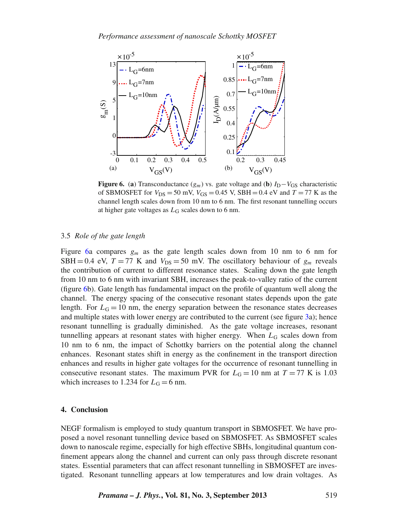<span id="page-8-1"></span>

**Figure 6.** (a) Transconductance  $(g_m)$  vs. gate voltage and (b)  $I_D - V_{GS}$  characteristic of SBMOSFET for  $V_{DS} = 50$  mV,  $V_{GS} = 0.45$  V, SBH = 0.4 eV and  $T = 77$  K as the channel length scales down from 10 nm to 6 nm. The first resonant tunnelling occurs at higher gate voltages as *L*<sup>G</sup> scales down to 6 nm.

# 3.5 *Role of the gate length*

Figure [6a](#page-8-1) compares  $g_m$  as the gate length scales down from 10 nm to 6 nm for SBH = 0.4 eV,  $T = 77$  K and  $V_{DS} = 50$  mV. The oscillatory behaviour of  $g_m$  reveals the contribution of current to different resonance states. Scaling down the gate length from 10 nm to 6 nm with invariant SBH, increases the peak-to-valley ratio of the current (figure [6b](#page-8-1)). Gate length has fundamental impact on the profile of quantum well along the channel. The energy spacing of the consecutive resonant states depends upon the gate length. For  $L<sub>G</sub> = 10$  nm, the energy separation between the resonance states decreases and multiple states with lower energy are contributed to the current (see figure [3a](#page-5-0)); hence resonant tunnelling is gradually diminished. As the gate voltage increases, resonant tunnelling appears at resonant states with higher energy. When  $L<sub>G</sub>$  scales down from 10 nm to 6 nm, the impact of Schottky barriers on the potential along the channel enhances. Resonant states shift in energy as the confinement in the transport direction enhances and results in higher gate voltages for the occurrence of resonant tunnelling in consecutive resonant states. The maximum PVR for  $L_G = 10$  nm at  $T = 77$  K is 1.03 which increases to 1.234 for  $L<sub>G</sub> = 6$  nm.

# <span id="page-8-0"></span>**4. Conclusion**

NEGF formalism is employed to study quantum transport in SBMOSFET. We have proposed a novel resonant tunnelling device based on SBMOSFET. As SBMOSFET scales down to nanoscale regime, especially for high effective SBHs, longitudinal quantum confinement appears along the channel and current can only pass through discrete resonant states. Essential parameters that can affect resonant tunnelling in SBMOSFET are investigated. Resonant tunnelling appears at low temperatures and low drain voltages. As